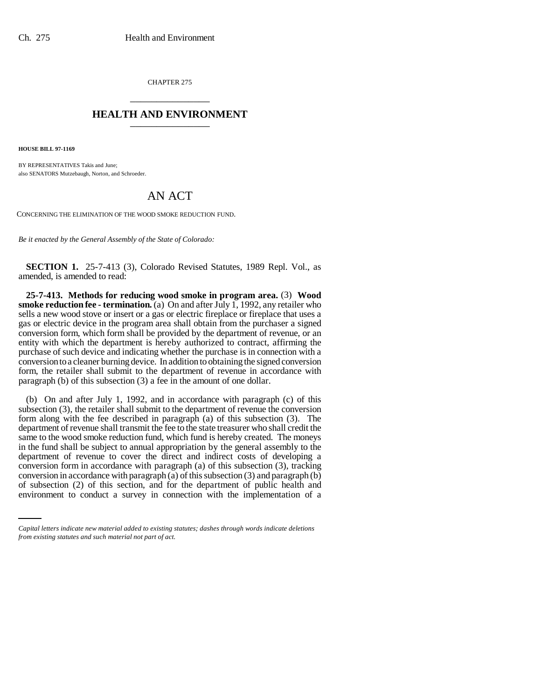CHAPTER 275 \_\_\_\_\_\_\_\_\_\_\_\_\_\_\_

## **HEALTH AND ENVIRONMENT** \_\_\_\_\_\_\_\_\_\_\_\_\_\_\_

**HOUSE BILL 97-1169**

BY REPRESENTATIVES Takis and June; also SENATORS Mutzebaugh, Norton, and Schroeder.

## AN ACT

CONCERNING THE ELIMINATION OF THE WOOD SMOKE REDUCTION FUND.

*Be it enacted by the General Assembly of the State of Colorado:*

**SECTION 1.** 25-7-413 (3), Colorado Revised Statutes, 1989 Repl. Vol., as amended, is amended to read:

**25-7-413. Methods for reducing wood smoke in program area.** (3) **Wood smoke reduction fee - termination.** (a) On and after July 1, 1992, any retailer who sells a new wood stove or insert or a gas or electric fireplace or fireplace that uses a gas or electric device in the program area shall obtain from the purchaser a signed conversion form, which form shall be provided by the department of revenue, or an entity with which the department is hereby authorized to contract, affirming the purchase of such device and indicating whether the purchase is in connection with a conversion to a cleaner burning device. In addition to obtaining the signed conversion form, the retailer shall submit to the department of revenue in accordance with paragraph (b) of this subsection (3) a fee in the amount of one dollar.

conversion ion in accordance with paragraph (a) of this subsection  $(3)$  and paragraph  $(b)$ (b) On and after July 1, 1992, and in accordance with paragraph (c) of this subsection (3), the retailer shall submit to the department of revenue the conversion form along with the fee described in paragraph (a) of this subsection (3). The department of revenue shall transmit the fee to the state treasurer who shall credit the same to the wood smoke reduction fund, which fund is hereby created. The moneys in the fund shall be subject to annual appropriation by the general assembly to the department of revenue to cover the direct and indirect costs of developing a conversion form in accordance with paragraph (a) of this subsection (3), tracking of subsection (2) of this section, and for the department of public health and environment to conduct a survey in connection with the implementation of a

*Capital letters indicate new material added to existing statutes; dashes through words indicate deletions from existing statutes and such material not part of act.*